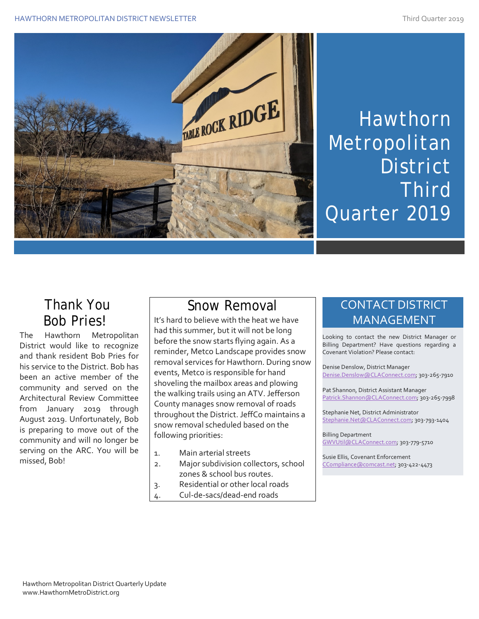

# Hawthorn Metropolitan **District** Third Quarter 2019

## Thank You Bob Pries!

The Hawthorn Metropolitan District would like to recognize and thank resident Bob Pries for his service to the District. Bob has been an active member of the community and served on the Architectural Review Committee from January 2019 through August 2019. Unfortunately, Bob is preparing to move out of the community and will no longer be serving on the ARC. You will be missed, Bob!

# Snow Removal

It's hard to believe with the heat we have had this summer, but it will not be long before the snow starts flying again. As a reminder, Metco Landscape provides snow removal services for Hawthorn. During snow events, Metco is responsible for hand shoveling the mailbox areas and plowing the walking trails using an ATV. Jefferson County manages snow removal of roads throughout the District. JeffCo maintains a snow removal scheduled based on the following priorities:

- 1. Main arterial streets
- 2. Major subdivision collectors, school zones & school bus routes.
- 3. Residential or other local roads
- 4. Cul-de-sacs/dead-end roads

#### CONTACT DISTRICT MANAGEMENT

Looking to contact the new District Manager or Billing Department? Have questions regarding a Covenant Violation? Please contact:

Denise Denslow, District Manager [Denise.Denslow@CLAConnect.com;](mailto:Denise.Denslow@CLAConnect.com) 303-265-7910

Pat Shannon, District Assistant Manager [Patrick.Shannon@CLAConnect.com;](mailto:Patrick.Shannon@CLAConnect.com) 303-265-7998

Stephanie Net, District Administrator [Stephanie.Net@CLAConnect.com;](mailto:Stephanie.Net@CLAConnect.com) 303-793-1404

Billing Department [GWVUtil@CLAConnect.com;](mailto:GWVUtil@CLAConnect.com) 303-779-5710

Susie Ellis, Covenant Enforcement [CCompliance@comcast.net;](mailto:CCompliance@comcast.net) 303-422-4473